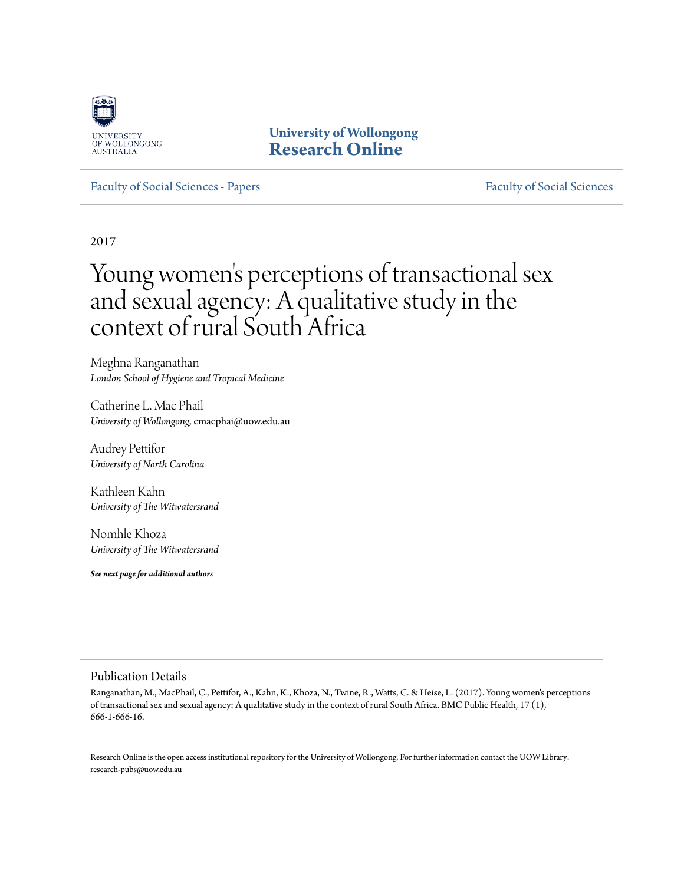

**University of Wollongong [Research Online](http://ro.uow.edu.au)**

[Faculty of Social Sciences - Papers](http://ro.uow.edu.au/sspapers) [Faculty of Social Sciences](http://ro.uow.edu.au/ss) - Papers Faculty of Social Sciences

2017

# Young women ' s perceptions of transactional sex and sexual agency: A qualitative study in the context of rural South Africa

Meghna Ranganathan *London School of Hygiene and Tropical Medicine*

Catherine L. Mac Phail *University of Wollongong*, cmacphai@uow.edu.au

Audrey Pettifor *University of North Carolina*

Kathleen Kahn *University of The Witwatersrand*

Nomhle Khoza *University of The Witwatersrand*

*See next page for additional authors*

#### Publication Details

Ranganathan, M., MacPhail, C., Pettifor, A., Kahn, K., Khoza, N., Twine, R., Watts, C. & Heise, L. (2017). Young women's perceptions of transactional sex and sexual agency: A qualitative study in the context of rural South Africa. BMC Public Health, 17 (1), 666-1-666-16.

Research Online is the open access institutional repository for the University of Wollongong. For further information contact the UOW Library: research-pubs@uow.edu.au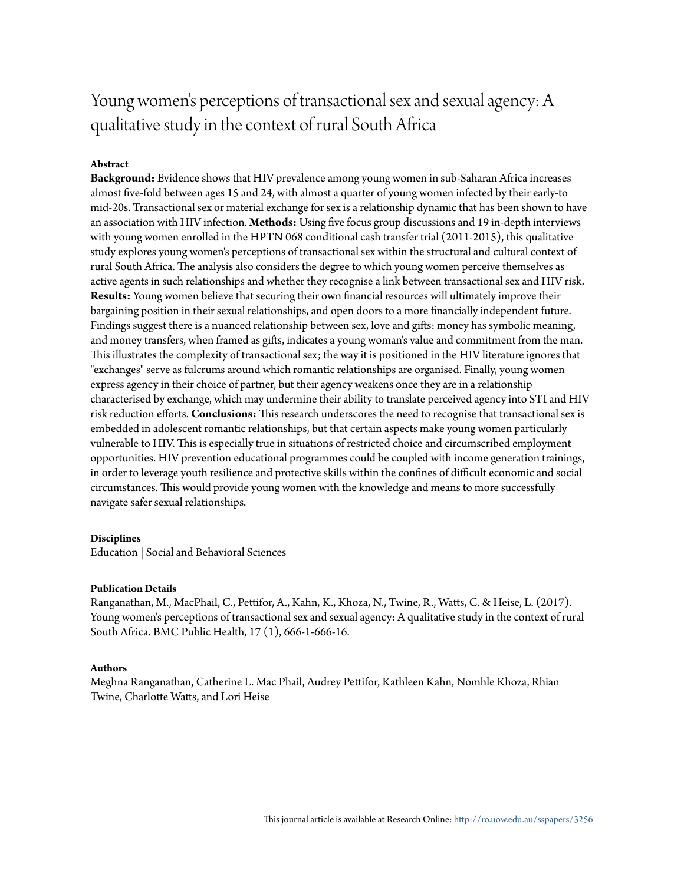# Young women's perceptions of transactional sex and sexual agency: A qualitative study in the context of rural South Africa

#### **Abstract**

**Background:** Evidence shows that HIV prevalence among young women in sub-Saharan Africa increases almost five-fold between ages 15 and 24, with almost a quarter of young women infected by their early-to mid-20s. Transactional sex or material exchange for sex is a relationship dynamic that has been shown to have an association with HIV infection. **Methods:** Using five focus group discussions and 19 in-depth interviews with young women enrolled in the HPTN 068 conditional cash transfer trial (2011-2015), this qualitative study explores young women's perceptions of transactional sex within the structural and cultural context of rural South Africa. The analysis also considers the degree to which young women perceive themselves as active agents in such relationships and whether they recognise a link between transactional sex and HIV risk. **Results:** Young women believe that securing their own financial resources will ultimately improve their bargaining position in their sexual relationships, and open doors to a more financially independent future. Findings suggest there is a nuanced relationship between sex, love and gifts: money has symbolic meaning, and money transfers, when framed as gifts, indicates a young woman's value and commitment from the man. This illustrates the complexity of transactional sex; the way it is positioned in the HIV literature ignores that "exchanges" serve as fulcrums around which romantic relationships are organised. Finally, young women express agency in their choice of partner, but their agency weakens once they are in a relationship characterised by exchange, which may undermine their ability to translate perceived agency into STI and HIV risk reduction efforts. **Conclusions:** This research underscores the need to recognise that transactional sex is embedded in adolescent romantic relationships, but that certain aspects make young women particularly vulnerable to HIV. This is especially true in situations of restricted choice and circumscribed employment opportunities. HIV prevention educational programmes could be coupled with income generation trainings, in order to leverage youth resilience and protective skills within the confines of difficult economic and social circumstances. This would provide young women with the knowledge and means to more successfully navigate safer sexual relationships.

#### **Disciplines**

Education | Social and Behavioral Sciences

#### **Publication Details**

Ranganathan, M., MacPhail, C., Pettifor, A., Kahn, K., Khoza, N., Twine, R., Watts, C. & Heise, L. (2017). Young women's perceptions of transactional sex and sexual agency: A qualitative study in the context of rural South Africa. BMC Public Health, 17 (1), 666-1-666-16.

#### **Authors**

Meghna Ranganathan, Catherine L. Mac Phail, Audrey Pettifor, Kathleen Kahn, Nomhle Khoza, Rhian Twine, Charlotte Watts, and Lori Heise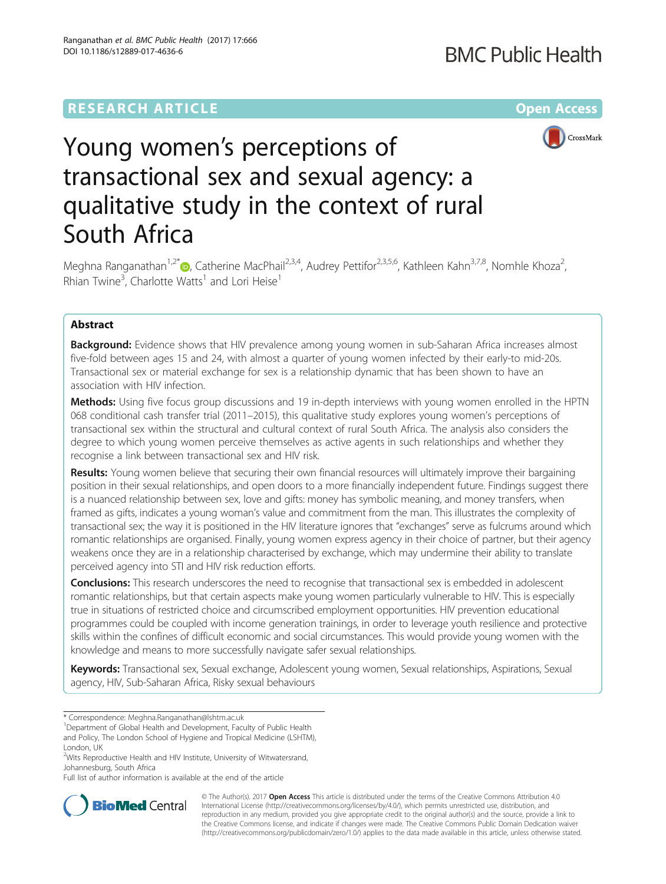## **RESEARCH ARTICLE Example 2014 12:30 The Community Community Community Community Community Community Community**



# Young women's perceptions of transactional sex and sexual agency: a qualitative study in the context of rural South Africa

Meghna Ranganathan<sup>1,2[\\*](http://orcid.org/0000-0001-5827-343X)</sup>  $\odot$ , Catherine MacPhail<sup>2,3,4</sup>, Audrey Pettifor<sup>2,3,5,6</sup>, Kathleen Kahn<sup>3,7,8</sup>, Nomhle Khoza<sup>2</sup>, .<br>, Rhian Twine<sup>3</sup>, Charlotte Watts<sup>1</sup> and Lori Heise<sup>1</sup>

#### Abstract

**Background:** Evidence shows that HIV prevalence among young women in sub-Saharan Africa increases almost five-fold between ages 15 and 24, with almost a quarter of young women infected by their early-to mid-20s. Transactional sex or material exchange for sex is a relationship dynamic that has been shown to have an association with HIV infection.

Methods: Using five focus group discussions and 19 in-depth interviews with young women enrolled in the HPTN 068 conditional cash transfer trial (2011–2015), this qualitative study explores young women's perceptions of transactional sex within the structural and cultural context of rural South Africa. The analysis also considers the degree to which young women perceive themselves as active agents in such relationships and whether they recognise a link between transactional sex and HIV risk.

Results: Young women believe that securing their own financial resources will ultimately improve their bargaining position in their sexual relationships, and open doors to a more financially independent future. Findings suggest there is a nuanced relationship between sex, love and gifts: money has symbolic meaning, and money transfers, when framed as gifts, indicates a young woman's value and commitment from the man. This illustrates the complexity of transactional sex; the way it is positioned in the HIV literature ignores that "exchanges" serve as fulcrums around which romantic relationships are organised. Finally, young women express agency in their choice of partner, but their agency weakens once they are in a relationship characterised by exchange, which may undermine their ability to translate perceived agency into STI and HIV risk reduction efforts.

**Conclusions:** This research underscores the need to recognise that transactional sex is embedded in adolescent romantic relationships, but that certain aspects make young women particularly vulnerable to HIV. This is especially true in situations of restricted choice and circumscribed employment opportunities. HIV prevention educational programmes could be coupled with income generation trainings, in order to leverage youth resilience and protective skills within the confines of difficult economic and social circumstances. This would provide young women with the knowledge and means to more successfully navigate safer sexual relationships.

Keywords: Transactional sex, Sexual exchange, Adolescent young women, Sexual relationships, Aspirations, Sexual agency, HIV, Sub-Saharan Africa, Risky sexual behaviours

\* Correspondence: [Meghna.Ranganathan@lshtm.ac.uk](mailto:Meghna.Ranganathan@lshtm.ac.uk) <sup>1</sup>

<sup>1</sup>Department of Global Health and Development, Faculty of Public Health and Policy, The London School of Hygiene and Tropical Medicine (LSHTM),

London, UK

<sup>2</sup>Wits Reproductive Health and HIV Institute, University of Witwatersrand, Johannesburg, South Africa

Full list of author information is available at the end of the article



© The Author(s). 2017 **Open Access** This article is distributed under the terms of the Creative Commons Attribution 4.0 International License [\(http://creativecommons.org/licenses/by/4.0/](http://creativecommons.org/licenses/by/4.0/)), which permits unrestricted use, distribution, and reproduction in any medium, provided you give appropriate credit to the original author(s) and the source, provide a link to the Creative Commons license, and indicate if changes were made. The Creative Commons Public Domain Dedication waiver [\(http://creativecommons.org/publicdomain/zero/1.0/](http://creativecommons.org/publicdomain/zero/1.0/)) applies to the data made available in this article, unless otherwise stated.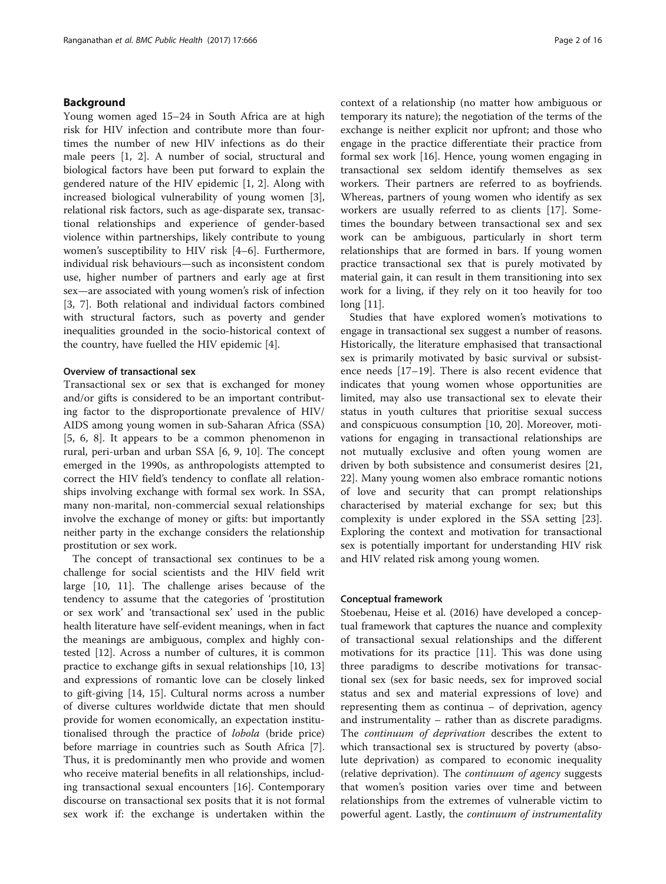#### Background

Young women aged 15–24 in South Africa are at high risk for HIV infection and contribute more than fourtimes the number of new HIV infections as do their male peers [\[1, 2](#page-15-0)]. A number of social, structural and biological factors have been put forward to explain the gendered nature of the HIV epidemic [\[1, 2\]](#page-15-0). Along with increased biological vulnerability of young women [\[3](#page-15-0)], relational risk factors, such as age-disparate sex, transactional relationships and experience of gender-based violence within partnerships, likely contribute to young women's susceptibility to HIV risk [[4](#page-16-0)–[6\]](#page-16-0). Furthermore, individual risk behaviours—such as inconsistent condom use, higher number of partners and early age at first sex—are associated with young women's risk of infection [[3,](#page-15-0) [7](#page-16-0)]. Both relational and individual factors combined with structural factors, such as poverty and gender inequalities grounded in the socio-historical context of the country, have fuelled the HIV epidemic [\[4](#page-16-0)].

#### Overview of transactional sex

Transactional sex or sex that is exchanged for money and/or gifts is considered to be an important contributing factor to the disproportionate prevalence of HIV/ AIDS among young women in sub-Saharan Africa (SSA) [[5, 6, 8\]](#page-16-0). It appears to be a common phenomenon in rural, peri-urban and urban SSA [[6, 9](#page-16-0), [10\]](#page-16-0). The concept emerged in the 1990s, as anthropologists attempted to correct the HIV field's tendency to conflate all relationships involving exchange with formal sex work. In SSA, many non-marital, non-commercial sexual relationships involve the exchange of money or gifts: but importantly neither party in the exchange considers the relationship prostitution or sex work.

The concept of transactional sex continues to be a challenge for social scientists and the HIV field writ large [\[10](#page-16-0), [11\]](#page-16-0). The challenge arises because of the tendency to assume that the categories of 'prostitution or sex work' and 'transactional sex' used in the public health literature have self-evident meanings, when in fact the meanings are ambiguous, complex and highly contested [[12\]](#page-16-0). Across a number of cultures, it is common practice to exchange gifts in sexual relationships [\[10](#page-16-0), [13](#page-16-0)] and expressions of romantic love can be closely linked to gift-giving [\[14](#page-16-0), [15](#page-16-0)]. Cultural norms across a number of diverse cultures worldwide dictate that men should provide for women economically, an expectation institutionalised through the practice of lobola (bride price) before marriage in countries such as South Africa [\[7](#page-16-0)]. Thus, it is predominantly men who provide and women who receive material benefits in all relationships, including transactional sexual encounters [[16\]](#page-16-0). Contemporary discourse on transactional sex posits that it is not formal sex work if: the exchange is undertaken within the context of a relationship (no matter how ambiguous or temporary its nature); the negotiation of the terms of the exchange is neither explicit nor upfront; and those who engage in the practice differentiate their practice from formal sex work [[16](#page-16-0)]. Hence, young women engaging in transactional sex seldom identify themselves as sex workers. Their partners are referred to as boyfriends. Whereas, partners of young women who identify as sex workers are usually referred to as clients [\[17\]](#page-16-0). Sometimes the boundary between transactional sex and sex work can be ambiguous, particularly in short term relationships that are formed in bars. If young women practice transactional sex that is purely motivated by material gain, it can result in them transitioning into sex work for a living, if they rely on it too heavily for too long [[11](#page-16-0)].

Studies that have explored women's motivations to engage in transactional sex suggest a number of reasons. Historically, the literature emphasised that transactional sex is primarily motivated by basic survival or subsistence needs [\[17](#page-16-0)–[19\]](#page-16-0). There is also recent evidence that indicates that young women whose opportunities are limited, may also use transactional sex to elevate their status in youth cultures that prioritise sexual success and conspicuous consumption [\[10](#page-16-0), [20](#page-16-0)]. Moreover, motivations for engaging in transactional relationships are not mutually exclusive and often young women are driven by both subsistence and consumerist desires [[21](#page-16-0), [22\]](#page-16-0). Many young women also embrace romantic notions of love and security that can prompt relationships characterised by material exchange for sex; but this complexity is under explored in the SSA setting [\[23](#page-16-0)]. Exploring the context and motivation for transactional sex is potentially important for understanding HIV risk and HIV related risk among young women.

#### Conceptual framework

Stoebenau, Heise et al. (2016) have developed a conceptual framework that captures the nuance and complexity of transactional sexual relationships and the different motivations for its practice [[11\]](#page-16-0). This was done using three paradigms to describe motivations for transactional sex (sex for basic needs, sex for improved social status and sex and material expressions of love) and representing them as continua – of deprivation, agency and instrumentality – rather than as discrete paradigms. The continuum of deprivation describes the extent to which transactional sex is structured by poverty (absolute deprivation) as compared to economic inequality (relative deprivation). The continuum of agency suggests that women's position varies over time and between relationships from the extremes of vulnerable victim to powerful agent. Lastly, the continuum of instrumentality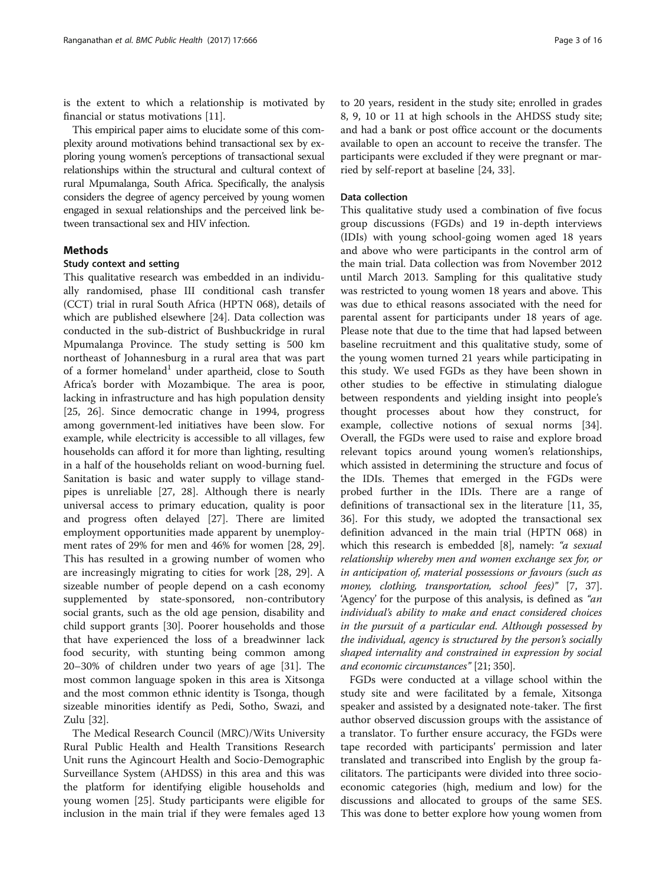is the extent to which a relationship is motivated by financial or status motivations [[11](#page-16-0)].

This empirical paper aims to elucidate some of this complexity around motivations behind transactional sex by exploring young women's perceptions of transactional sexual relationships within the structural and cultural context of rural Mpumalanga, South Africa. Specifically, the analysis considers the degree of agency perceived by young women engaged in sexual relationships and the perceived link between transactional sex and HIV infection.

#### Methods

#### Study context and setting

This qualitative research was embedded in an individually randomised, phase III conditional cash transfer (CCT) trial in rural South Africa (HPTN 068), details of which are published elsewhere [\[24](#page-16-0)]. Data collection was conducted in the sub-district of Bushbuckridge in rural Mpumalanga Province. The study setting is 500 km northeast of Johannesburg in a rural area that was part of a former homeland<sup>1</sup> under apartheid, close to South Africa's border with Mozambique. The area is poor, lacking in infrastructure and has high population density [[25, 26\]](#page-16-0). Since democratic change in 1994, progress among government-led initiatives have been slow. For example, while electricity is accessible to all villages, few households can afford it for more than lighting, resulting in a half of the households reliant on wood-burning fuel. Sanitation is basic and water supply to village standpipes is unreliable [[27](#page-16-0), [28](#page-16-0)]. Although there is nearly universal access to primary education, quality is poor and progress often delayed [[27\]](#page-16-0). There are limited employment opportunities made apparent by unemployment rates of 29% for men and 46% for women [\[28](#page-16-0), [29](#page-16-0)]. This has resulted in a growing number of women who are increasingly migrating to cities for work [[28, 29](#page-16-0)]. A sizeable number of people depend on a cash economy supplemented by state-sponsored, non-contributory social grants, such as the old age pension, disability and child support grants [[30\]](#page-16-0). Poorer households and those that have experienced the loss of a breadwinner lack food security, with stunting being common among 20–30% of children under two years of age [\[31](#page-16-0)]. The most common language spoken in this area is Xitsonga and the most common ethnic identity is Tsonga, though sizeable minorities identify as Pedi, Sotho, Swazi, and Zulu [\[32\]](#page-16-0).

The Medical Research Council (MRC)/Wits University Rural Public Health and Health Transitions Research Unit runs the Agincourt Health and Socio-Demographic Surveillance System (AHDSS) in this area and this was the platform for identifying eligible households and young women [\[25](#page-16-0)]. Study participants were eligible for inclusion in the main trial if they were females aged 13

to 20 years, resident in the study site; enrolled in grades 8, 9, 10 or 11 at high schools in the AHDSS study site; and had a bank or post office account or the documents available to open an account to receive the transfer. The participants were excluded if they were pregnant or married by self-report at baseline [[24](#page-16-0), [33](#page-16-0)].

#### Data collection

This qualitative study used a combination of five focus group discussions (FGDs) and 19 in-depth interviews (IDIs) with young school-going women aged 18 years and above who were participants in the control arm of the main trial. Data collection was from November 2012 until March 2013. Sampling for this qualitative study was restricted to young women 18 years and above. This was due to ethical reasons associated with the need for parental assent for participants under 18 years of age. Please note that due to the time that had lapsed between baseline recruitment and this qualitative study, some of the young women turned 21 years while participating in this study. We used FGDs as they have been shown in other studies to be effective in stimulating dialogue between respondents and yielding insight into people's thought processes about how they construct, for example, collective notions of sexual norms [\[34](#page-16-0)]. Overall, the FGDs were used to raise and explore broad relevant topics around young women's relationships, which assisted in determining the structure and focus of the IDIs. Themes that emerged in the FGDs were probed further in the IDIs. There are a range of definitions of transactional sex in the literature [[11](#page-16-0), [35](#page-16-0), [36\]](#page-16-0). For this study, we adopted the transactional sex definition advanced in the main trial (HPTN 068) in which this research is embedded [\[8\]](#page-16-0), namely: "*a sexual* relationship whereby men and women exchange sex for, or in anticipation of, material possessions or favours (such as money, clothing, transportation, school fees)" [\[7](#page-16-0), [37](#page-16-0)]. 'Agency' for the purpose of this analysis, is defined as "an individual's ability to make and enact considered choices in the pursuit of a particular end. Although possessed by the individual, agency is structured by the person's socially shaped internality and constrained in expression by social and economic circumstances" [21; 350].

FGDs were conducted at a village school within the study site and were facilitated by a female, Xitsonga speaker and assisted by a designated note-taker. The first author observed discussion groups with the assistance of a translator. To further ensure accuracy, the FGDs were tape recorded with participants' permission and later translated and transcribed into English by the group facilitators. The participants were divided into three socioeconomic categories (high, medium and low) for the discussions and allocated to groups of the same SES. This was done to better explore how young women from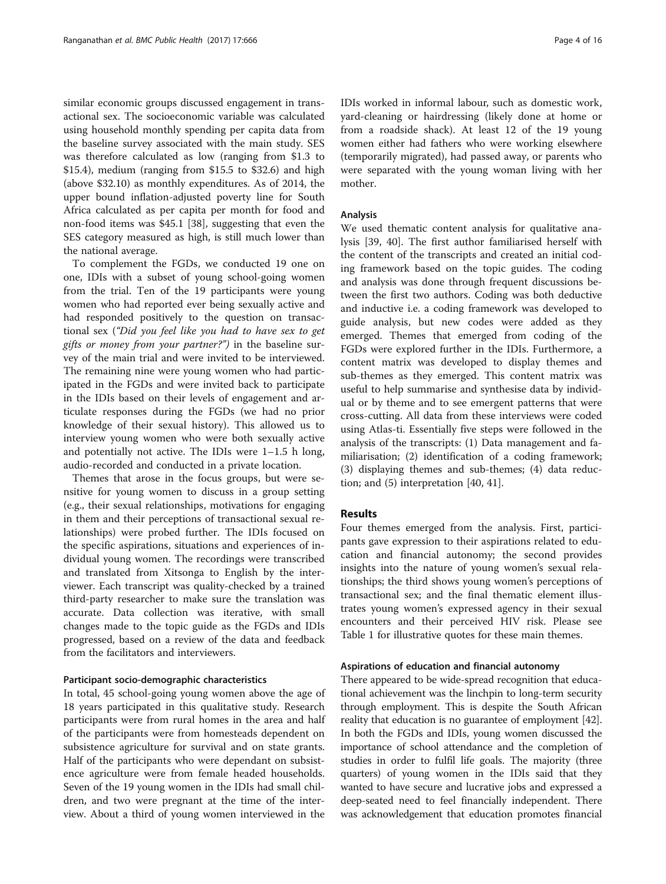similar economic groups discussed engagement in transactional sex. The socioeconomic variable was calculated using household monthly spending per capita data from the baseline survey associated with the main study. SES was therefore calculated as low (ranging from \$1.3 to \$15.4), medium (ranging from \$15.5 to \$32.6) and high (above \$32.10) as monthly expenditures. As of 2014, the upper bound inflation-adjusted poverty line for South Africa calculated as per capita per month for food and non-food items was \$45.1 [[38\]](#page-16-0), suggesting that even the SES category measured as high, is still much lower than the national average.

To complement the FGDs, we conducted 19 one on one, IDIs with a subset of young school-going women from the trial. Ten of the 19 participants were young women who had reported ever being sexually active and had responded positively to the question on transactional sex ("Did you feel like you had to have sex to get gifts or money from your partner?") in the baseline survey of the main trial and were invited to be interviewed. The remaining nine were young women who had participated in the FGDs and were invited back to participate in the IDIs based on their levels of engagement and articulate responses during the FGDs (we had no prior knowledge of their sexual history). This allowed us to interview young women who were both sexually active and potentially not active. The IDIs were 1–1.5 h long, audio-recorded and conducted in a private location.

Themes that arose in the focus groups, but were sensitive for young women to discuss in a group setting (e.g., their sexual relationships, motivations for engaging in them and their perceptions of transactional sexual relationships) were probed further. The IDIs focused on the specific aspirations, situations and experiences of individual young women. The recordings were transcribed and translated from Xitsonga to English by the interviewer. Each transcript was quality-checked by a trained third-party researcher to make sure the translation was accurate. Data collection was iterative, with small changes made to the topic guide as the FGDs and IDIs progressed, based on a review of the data and feedback from the facilitators and interviewers.

#### Participant socio-demographic characteristics

In total, 45 school-going young women above the age of 18 years participated in this qualitative study. Research participants were from rural homes in the area and half of the participants were from homesteads dependent on subsistence agriculture for survival and on state grants. Half of the participants who were dependant on subsistence agriculture were from female headed households. Seven of the 19 young women in the IDIs had small children, and two were pregnant at the time of the interview. About a third of young women interviewed in the IDIs worked in informal labour, such as domestic work, yard-cleaning or hairdressing (likely done at home or from a roadside shack). At least 12 of the 19 young women either had fathers who were working elsewhere (temporarily migrated), had passed away, or parents who were separated with the young woman living with her mother.

#### Analysis

We used thematic content analysis for qualitative analysis [\[39](#page-16-0), [40\]](#page-16-0). The first author familiarised herself with the content of the transcripts and created an initial coding framework based on the topic guides. The coding and analysis was done through frequent discussions between the first two authors. Coding was both deductive and inductive i.e. a coding framework was developed to guide analysis, but new codes were added as they emerged. Themes that emerged from coding of the FGDs were explored further in the IDIs. Furthermore, a content matrix was developed to display themes and sub-themes as they emerged. This content matrix was useful to help summarise and synthesise data by individual or by theme and to see emergent patterns that were cross-cutting. All data from these interviews were coded using Atlas-ti. Essentially five steps were followed in the analysis of the transcripts: (1) Data management and familiarisation; (2) identification of a coding framework; (3) displaying themes and sub-themes; (4) data reduction; and (5) interpretation [[40, 41](#page-16-0)].

#### Results

Four themes emerged from the analysis. First, participants gave expression to their aspirations related to education and financial autonomy; the second provides insights into the nature of young women's sexual relationships; the third shows young women's perceptions of transactional sex; and the final thematic element illustrates young women's expressed agency in their sexual encounters and their perceived HIV risk. Please see Table [1](#page-6-0) for illustrative quotes for these main themes.

#### Aspirations of education and financial autonomy

There appeared to be wide-spread recognition that educational achievement was the linchpin to long-term security through employment. This is despite the South African reality that education is no guarantee of employment [[42](#page-16-0)]. In both the FGDs and IDIs, young women discussed the importance of school attendance and the completion of studies in order to fulfil life goals. The majority (three quarters) of young women in the IDIs said that they wanted to have secure and lucrative jobs and expressed a deep-seated need to feel financially independent. There was acknowledgement that education promotes financial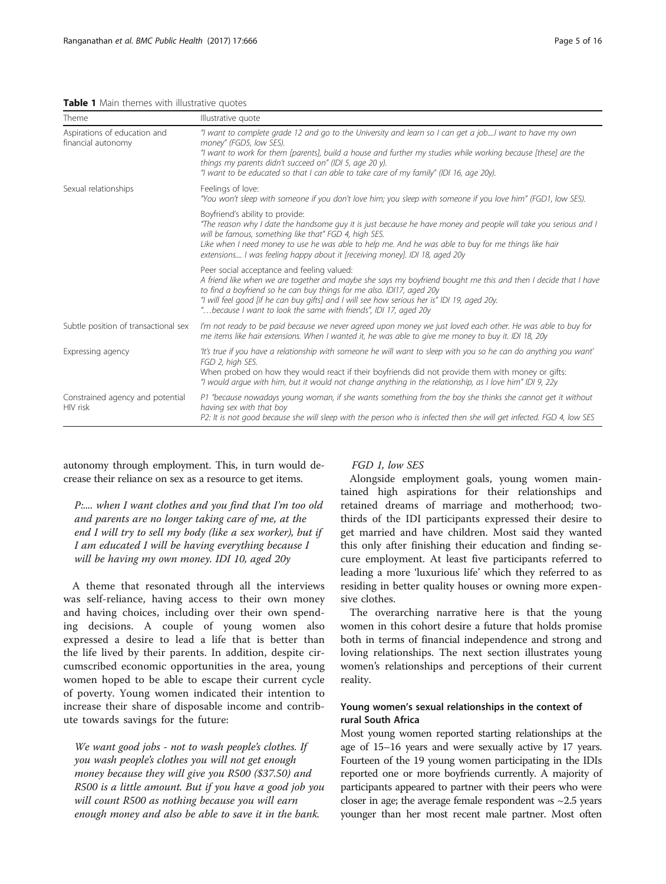#### <span id="page-6-0"></span>Table 1 Main themes with illustrative quotes

| Theme                                              | Illustrative quote                                                                                                                                                                                                                                                                                                                                                                                         |
|----------------------------------------------------|------------------------------------------------------------------------------------------------------------------------------------------------------------------------------------------------------------------------------------------------------------------------------------------------------------------------------------------------------------------------------------------------------------|
| Aspirations of education and<br>financial autonomy | "I want to complete grade 12 and go to the University and learn so I can get a jobI want to have my own<br>money" (FGD5, low SES).<br>"I want to work for them [parents], build a house and further my studies while working because [these] are the<br>things my parents didn't succeed on" (IDI 5, age 20 y).<br>"I want to be educated so that I can able to take care of my family" (IDI 16, age 20y). |
| Sexual relationships                               | Feelings of love:<br>"You won't sleep with someone if you don't love him; you sleep with someone if you love him" (FGD1, low SES).                                                                                                                                                                                                                                                                         |
|                                                    | Boyfriend's ability to provide:<br>"The reason why I date the handsome quy it is just because he have money and people will take you serious and I<br>will be famous, something like that" FGD 4, high SES.<br>Like when I need money to use he was able to help me. And he was able to buy for me things like hair<br>extensions I was feeling happy about it freceiving money]. IDI 18, aged 20y         |
|                                                    | Peer social acceptance and feeling valued:<br>A friend like when we are together and maybe she says my boyfriend bought me this and then I decide that I have<br>to find a boyfriend so he can buy things for me also. IDI17, aged 20y<br>"I will feel good [if he can buy gifts] and I will see how serious her is" IDI 19, aged 20y.<br>"because I want to look the same with friends", IDI 17, aged 20y |
| Subtle position of transactional sex               | I'm not ready to be paid because we never agreed upon money we just loved each other. He was able to buy for<br>me items like hair extensions. When I wanted it, he was able to give me money to buy it. IDI 18, 20y                                                                                                                                                                                       |
| Expressing agency                                  | 'It's true if you have a relationship with someone he will want to sleep with you so he can do anything you want'<br>FGD 2, high SES.<br>When probed on how they would react if their boyfriends did not provide them with money or gifts:<br>"I would argue with him, but it would not change anything in the relationship, as I love him" IDI 9, 22y                                                     |
| Constrained agency and potential<br>HIV risk       | P1 "because nowadays young woman, if she wants something from the boy she thinks she cannot get it without<br>having sex with that boy<br>P2: It is not good because she will sleep with the person who is infected then she will get infected. FGD 4, low SES                                                                                                                                             |

autonomy through employment. This, in turn would decrease their reliance on sex as a resource to get items.

P:.... when I want clothes and you find that I'm too old and parents are no longer taking care of me, at the end I will try to sell my body (like a sex worker), but if I am educated I will be having everything because I will be having my own money. IDI 10, aged 20y

A theme that resonated through all the interviews was self-reliance, having access to their own money and having choices, including over their own spending decisions. A couple of young women also expressed a desire to lead a life that is better than the life lived by their parents. In addition, despite circumscribed economic opportunities in the area, young women hoped to be able to escape their current cycle of poverty. Young women indicated their intention to increase their share of disposable income and contribute towards savings for the future:

We want good jobs - not to wash people's clothes. If you wash people's clothes you will not get enough money because they will give you R500 (\$37.50) and R500 is a little amount. But if you have a good job you will count R500 as nothing because you will earn enough money and also be able to save it in the bank.

#### FGD 1, low SES

Alongside employment goals, young women maintained high aspirations for their relationships and retained dreams of marriage and motherhood; twothirds of the IDI participants expressed their desire to get married and have children. Most said they wanted this only after finishing their education and finding secure employment. At least five participants referred to leading a more 'luxurious life' which they referred to as residing in better quality houses or owning more expensive clothes.

The overarching narrative here is that the young women in this cohort desire a future that holds promise both in terms of financial independence and strong and loving relationships. The next section illustrates young women's relationships and perceptions of their current reality.

#### Young women's sexual relationships in the context of rural South Africa

Most young women reported starting relationships at the age of 15–16 years and were sexually active by 17 years. Fourteen of the 19 young women participating in the IDIs reported one or more boyfriends currently. A majority of participants appeared to partner with their peers who were closer in age; the average female respondent was  $\sim$ 2.5 years younger than her most recent male partner. Most often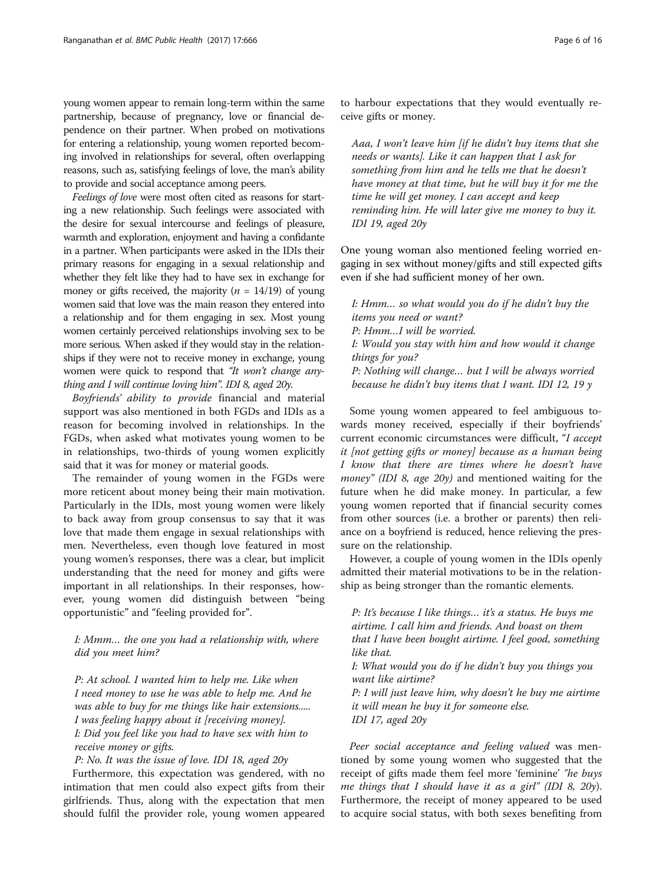young women appear to remain long-term within the same partnership, because of pregnancy, love or financial dependence on their partner. When probed on motivations for entering a relationship, young women reported becoming involved in relationships for several, often overlapping reasons, such as, satisfying feelings of love, the man's ability to provide and social acceptance among peers.

Feelings of love were most often cited as reasons for starting a new relationship. Such feelings were associated with the desire for sexual intercourse and feelings of pleasure, warmth and exploration, enjoyment and having a confidante in a partner. When participants were asked in the IDIs their primary reasons for engaging in a sexual relationship and whether they felt like they had to have sex in exchange for money or gifts received, the majority ( $n = 14/19$ ) of young women said that love was the main reason they entered into a relationship and for them engaging in sex. Most young women certainly perceived relationships involving sex to be more serious. When asked if they would stay in the relationships if they were not to receive money in exchange, young women were quick to respond that "It won't change anything and I will continue loving him". IDI 8, aged 20y.

Boyfriends' ability to provide financial and material support was also mentioned in both FGDs and IDIs as a reason for becoming involved in relationships. In the FGDs, when asked what motivates young women to be in relationships, two-thirds of young women explicitly said that it was for money or material goods.

The remainder of young women in the FGDs were more reticent about money being their main motivation. Particularly in the IDIs, most young women were likely to back away from group consensus to say that it was love that made them engage in sexual relationships with men. Nevertheless, even though love featured in most young women's responses, there was a clear, but implicit understanding that the need for money and gifts were important in all relationships. In their responses, however, young women did distinguish between "being opportunistic" and "feeling provided for".

#### I: Mmm… the one you had a relationship with, where did you meet him?

P: At school. I wanted him to help me. Like when I need money to use he was able to help me. And he was able to buy for me things like hair extensions..... I was feeling happy about it [receiving money]. I: Did you feel like you had to have sex with him to receive money or gifts.

P: No. It was the issue of love. IDI 18, aged 20y

Furthermore, this expectation was gendered, with no intimation that men could also expect gifts from their girlfriends. Thus, along with the expectation that men should fulfil the provider role, young women appeared

to harbour expectations that they would eventually receive gifts or money.

Aaa, I won't leave him [if he didn't buy items that she needs or wants]. Like it can happen that I ask for something from him and he tells me that he doesn't have money at that time, but he will buy it for me the time he will get money. I can accept and keep reminding him. He will later give me money to buy it. IDI 19, aged 20y

One young woman also mentioned feeling worried engaging in sex without money/gifts and still expected gifts even if she had sufficient money of her own.

I: Hmm… so what would you do if he didn't buy the items you need or want? P: Hmm…I will be worried. I: Would you stay with him and how would it change things for you? P: Nothing will change… but I will be always worried because he didn't buy items that I want. IDI 12, 19  $\gamma$ 

Some young women appeared to feel ambiguous towards money received, especially if their boyfriends' current economic circumstances were difficult, "I accept it [not getting gifts or money] because as a human being I know that there are times where he doesn't have money" (IDI 8, age 20y) and mentioned waiting for the future when he did make money. In particular, a few young women reported that if financial security comes from other sources (i.e. a brother or parents) then reliance on a boyfriend is reduced, hence relieving the pressure on the relationship.

However, a couple of young women in the IDIs openly admitted their material motivations to be in the relationship as being stronger than the romantic elements.

P: It's because I like things… it's a status. He buys me airtime. I call him and friends. And boast on them that I have been bought airtime. I feel good, something like that.

I: What would you do if he didn't buy you things you want like airtime?

P: I will just leave him, why doesn't he buy me airtime it will mean he buy it for someone else. IDI 17, aged 20y

Peer social acceptance and feeling valued was mentioned by some young women who suggested that the receipt of gifts made them feel more 'feminine' "he buys me things that I should have it as a girl" (IDI 8, 20y). Furthermore, the receipt of money appeared to be used to acquire social status, with both sexes benefiting from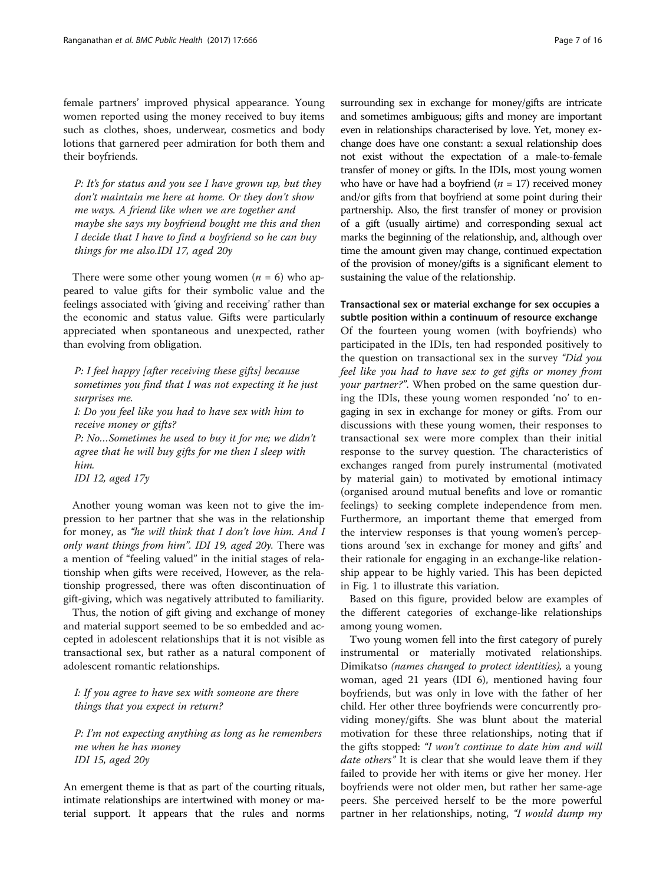female partners' improved physical appearance. Young women reported using the money received to buy items such as clothes, shoes, underwear, cosmetics and body lotions that garnered peer admiration for both them and their boyfriends.

P: It's for status and you see I have grown up, but they don't maintain me here at home. Or they don't show me ways. A friend like when we are together and maybe she says my boyfriend bought me this and then I decide that I have to find a boyfriend so he can buy things for me also.IDI 17, aged 20y

There were some other young women  $(n = 6)$  who appeared to value gifts for their symbolic value and the feelings associated with 'giving and receiving' rather than the economic and status value. Gifts were particularly appreciated when spontaneous and unexpected, rather than evolving from obligation.

P: I feel happy [after receiving these gifts] because sometimes you find that I was not expecting it he just surprises me. I: Do you feel like you had to have sex with him to receive money or gifts? P: No…Sometimes he used to buy it for me; we didn't agree that he will buy gifts for me then I sleep with him. IDI 12, aged 17y

Another young woman was keen not to give the impression to her partner that she was in the relationship for money, as "he will think that I don't love him. And I only want things from him". IDI 19, aged 20y. There was a mention of "feeling valued" in the initial stages of relationship when gifts were received, However, as the relationship progressed, there was often discontinuation of gift-giving, which was negatively attributed to familiarity.

Thus, the notion of gift giving and exchange of money and material support seemed to be so embedded and accepted in adolescent relationships that it is not visible as transactional sex, but rather as a natural component of adolescent romantic relationships.

I: If you agree to have sex with someone are there things that you expect in return?

P: I'm not expecting anything as long as he remembers me when he has money IDI 15, aged 20y

An emergent theme is that as part of the courting rituals, intimate relationships are intertwined with money or material support. It appears that the rules and norms surrounding sex in exchange for money/gifts are intricate and sometimes ambiguous; gifts and money are important even in relationships characterised by love. Yet, money exchange does have one constant: a sexual relationship does not exist without the expectation of a male-to-female transfer of money or gifts. In the IDIs, most young women who have or have had a boyfriend ( $n = 17$ ) received money and/or gifts from that boyfriend at some point during their partnership. Also, the first transfer of money or provision of a gift (usually airtime) and corresponding sexual act marks the beginning of the relationship, and, although over time the amount given may change, continued expectation of the provision of money/gifts is a significant element to sustaining the value of the relationship.

Transactional sex or material exchange for sex occupies a subtle position within a continuum of resource exchange Of the fourteen young women (with boyfriends) who participated in the IDIs, ten had responded positively to

the question on transactional sex in the survey "Did you feel like you had to have sex to get gifts or money from your partner?". When probed on the same question during the IDIs, these young women responded 'no' to engaging in sex in exchange for money or gifts. From our discussions with these young women, their responses to transactional sex were more complex than their initial response to the survey question. The characteristics of exchanges ranged from purely instrumental (motivated by material gain) to motivated by emotional intimacy (organised around mutual benefits and love or romantic feelings) to seeking complete independence from men. Furthermore, an important theme that emerged from the interview responses is that young women's perceptions around 'sex in exchange for money and gifts' and their rationale for engaging in an exchange-like relationship appear to be highly varied. This has been depicted in Fig. [1](#page-9-0) to illustrate this variation.

Based on this figure, provided below are examples of the different categories of exchange-like relationships among young women.

Two young women fell into the first category of purely instrumental or materially motivated relationships. Dimikatso (names changed to protect identities), a young woman, aged 21 years (IDI 6), mentioned having four boyfriends, but was only in love with the father of her child. Her other three boyfriends were concurrently providing money/gifts. She was blunt about the material motivation for these three relationships, noting that if the gifts stopped: "I won't continue to date him and will date others" It is clear that she would leave them if they failed to provide her with items or give her money. Her boyfriends were not older men, but rather her same-age peers. She perceived herself to be the more powerful partner in her relationships, noting, "I would dump my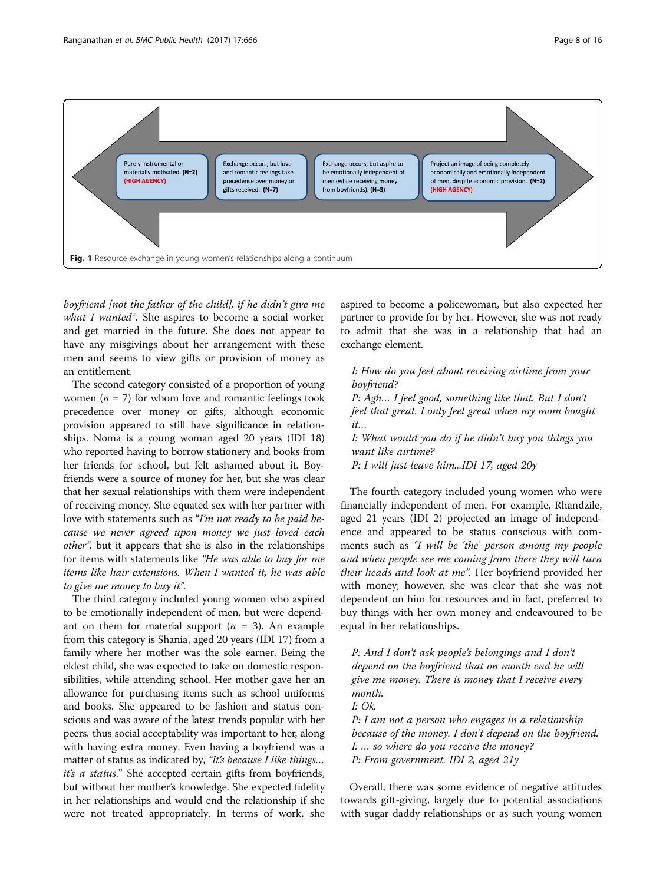<span id="page-9-0"></span>

boyfriend [not the father of the child], if he didn't give me what I wanted". She aspires to become a social worker and get married in the future. She does not appear to have any misgivings about her arrangement with these men and seems to view gifts or provision of money as an entitlement.

The second category consisted of a proportion of young women ( $n = 7$ ) for whom love and romantic feelings took precedence over money or gifts, although economic provision appeared to still have significance in relationships. Noma is a young woman aged 20 years (IDI 18) who reported having to borrow stationery and books from her friends for school, but felt ashamed about it. Boyfriends were a source of money for her, but she was clear that her sexual relationships with them were independent of receiving money. She equated sex with her partner with love with statements such as "I'm not ready to be paid because we never agreed upon money we just loved each other", but it appears that she is also in the relationships for items with statements like "He was able to buy for me items like hair extensions. When I wanted it, he was able to give me money to buy it".

The third category included young women who aspired to be emotionally independent of men, but were dependant on them for material support ( $n = 3$ ). An example from this category is Shania, aged 20 years (IDI 17) from a family where her mother was the sole earner. Being the eldest child, she was expected to take on domestic responsibilities, while attending school. Her mother gave her an allowance for purchasing items such as school uniforms and books. She appeared to be fashion and status conscious and was aware of the latest trends popular with her peers, thus social acceptability was important to her, along with having extra money. Even having a boyfriend was a matter of status as indicated by, "It's because I like things... it's a status." She accepted certain gifts from boyfriends, but without her mother's knowledge. She expected fidelity in her relationships and would end the relationship if she were not treated appropriately. In terms of work, she aspired to become a policewoman, but also expected her partner to provide for by her. However, she was not ready to admit that she was in a relationship that had an exchange element.

I: How do you feel about receiving airtime from your boyfriend?

P: Agh… I feel good, something like that. But I don't feel that great. I only feel great when my mom bought it…

I: What would you do if he didn't buy you things you want like airtime? P: I will just leave him...IDI 17, aged 20y

The fourth category included young women who were financially independent of men. For example, Rhandzile, aged 21 years (IDI 2) projected an image of independence and appeared to be status conscious with comments such as "I will be 'the' person among my people and when people see me coming from there they will turn their heads and look at me". Her boyfriend provided her with money; however, she was clear that she was not dependent on him for resources and in fact, preferred to buy things with her own money and endeavoured to be equal in her relationships.

P: And I don't ask people's belongings and I don't depend on the boyfriend that on month end he will give me money. There is money that I receive every month. I: Ok.

P: I am not a person who engages in a relationship because of the money. I don't depend on the boyfriend. I: … so where do you receive the money? P: From government. IDI 2, aged 21y

Overall, there was some evidence of negative attitudes towards gift-giving, largely due to potential associations with sugar daddy relationships or as such young women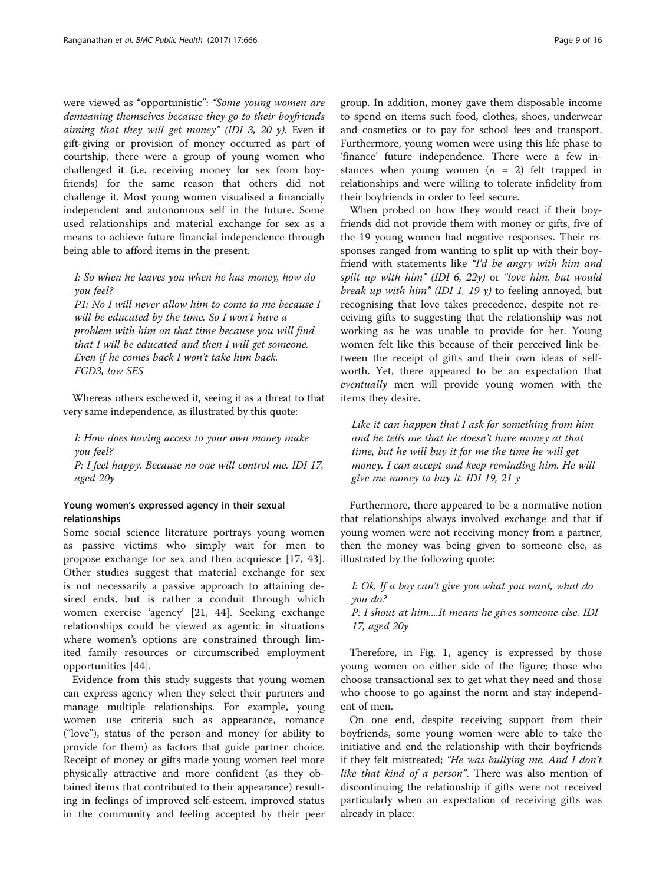were viewed as "opportunistic": "Some young women are demeaning themselves because they go to their boyfriends aiming that they will get money" (IDI 3, 20 y). Even if gift-giving or provision of money occurred as part of courtship, there were a group of young women who challenged it (i.e. receiving money for sex from boyfriends) for the same reason that others did not challenge it. Most young women visualised a financially independent and autonomous self in the future. Some used relationships and material exchange for sex as a means to achieve future financial independence through being able to afford items in the present.

I: So when he leaves you when he has money, how do you feel?

P1: No I will never allow him to come to me because I will be educated by the time. So I won't have a problem with him on that time because you will find that I will be educated and then I will get someone. Even if he comes back I won't take him back. FGD3, low SES

Whereas others eschewed it, seeing it as a threat to that very same independence, as illustrated by this quote:

I: How does having access to your own money make you feel?

P: I feel happy. Because no one will control me. IDI 17, aged 20y

#### Young women's expressed agency in their sexual relationships

Some social science literature portrays young women as passive victims who simply wait for men to propose exchange for sex and then acquiesce [[17, 43](#page-16-0)]. Other studies suggest that material exchange for sex is not necessarily a passive approach to attaining desired ends, but is rather a conduit through which women exercise 'agency' [[21, 44](#page-16-0)]. Seeking exchange relationships could be viewed as agentic in situations where women's options are constrained through limited family resources or circumscribed employment opportunities [[44\]](#page-16-0).

Evidence from this study suggests that young women can express agency when they select their partners and manage multiple relationships. For example, young women use criteria such as appearance, romance ("love"), status of the person and money (or ability to provide for them) as factors that guide partner choice. Receipt of money or gifts made young women feel more physically attractive and more confident (as they obtained items that contributed to their appearance) resulting in feelings of improved self-esteem, improved status in the community and feeling accepted by their peer group. In addition, money gave them disposable income to spend on items such food, clothes, shoes, underwear and cosmetics or to pay for school fees and transport. Furthermore, young women were using this life phase to 'finance' future independence. There were a few instances when young women  $(n = 2)$  felt trapped in relationships and were willing to tolerate infidelity from their boyfriends in order to feel secure.

When probed on how they would react if their boyfriends did not provide them with money or gifts, five of the 19 young women had negative responses. Their responses ranged from wanting to split up with their boyfriend with statements like "I'd be angry with him and split up with him" (IDI 6, 22 $y$ ) or "love him, but would break up with him" (IDI 1, 19  $y$ ) to feeling annoyed, but recognising that love takes precedence, despite not receiving gifts to suggesting that the relationship was not working as he was unable to provide for her. Young women felt like this because of their perceived link between the receipt of gifts and their own ideas of selfworth. Yet, there appeared to be an expectation that eventually men will provide young women with the items they desire.

Like it can happen that I ask for something from him and he tells me that he doesn't have money at that time, but he will buy it for me the time he will get money. I can accept and keep reminding him. He will give me money to buy it. IDI 19, 21 y

Furthermore, there appeared to be a normative notion that relationships always involved exchange and that if young women were not receiving money from a partner, then the money was being given to someone else, as illustrated by the following quote:

#### I: Ok. If a boy can't give you what you want, what do you do?

P: I shout at him....It means he gives someone else. IDI 17, aged 20y

Therefore, in Fig. [1,](#page-9-0) agency is expressed by those young women on either side of the figure; those who choose transactional sex to get what they need and those who choose to go against the norm and stay independent of men.

On one end, despite receiving support from their boyfriends, some young women were able to take the initiative and end the relationship with their boyfriends if they felt mistreated; "He was bullying me. And I don't like that kind of a person". There was also mention of discontinuing the relationship if gifts were not received particularly when an expectation of receiving gifts was already in place: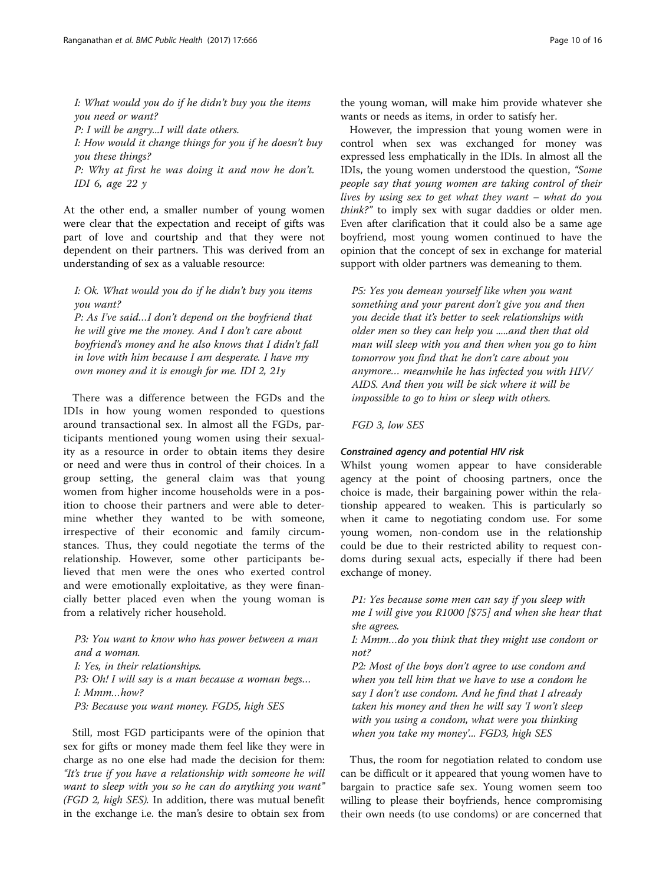I: What would you do if he didn't buy you the items you need or want? P: I will be angry...I will date others. I: How would it change things for you if he doesn't buy you these things?

P: Why at first he was doing it and now he don't. IDI 6, age 22 y

At the other end, a smaller number of young women were clear that the expectation and receipt of gifts was part of love and courtship and that they were not dependent on their partners. This was derived from an understanding of sex as a valuable resource:

#### I: Ok. What would you do if he didn't buy you items you want?

P: As I've said…I don't depend on the boyfriend that he will give me the money. And I don't care about boyfriend's money and he also knows that I didn't fall in love with him because I am desperate. I have my own money and it is enough for me. IDI 2, 21y

There was a difference between the FGDs and the IDIs in how young women responded to questions around transactional sex. In almost all the FGDs, participants mentioned young women using their sexuality as a resource in order to obtain items they desire or need and were thus in control of their choices. In a group setting, the general claim was that young women from higher income households were in a position to choose their partners and were able to determine whether they wanted to be with someone, irrespective of their economic and family circumstances. Thus, they could negotiate the terms of the relationship. However, some other participants believed that men were the ones who exerted control and were emotionally exploitative, as they were financially better placed even when the young woman is from a relatively richer household.

P3: You want to know who has power between a man and a woman. I: Yes, in their relationships. P3: Oh! I will say is a man because a woman begs... I: Mmm…how? P3: Because you want money. FGD5, high SES

Still, most FGD participants were of the opinion that sex for gifts or money made them feel like they were in charge as no one else had made the decision for them: "It's true if you have a relationship with someone he will want to sleep with you so he can do anything you want" (FGD 2, high SES). In addition, there was mutual benefit in the exchange i.e. the man's desire to obtain sex from

the young woman, will make him provide whatever she wants or needs as items, in order to satisfy her.

However, the impression that young women were in control when sex was exchanged for money was expressed less emphatically in the IDIs. In almost all the IDIs, the young women understood the question, "Some people say that young women are taking control of their lives by using sex to get what they want – what do you think?" to imply sex with sugar daddies or older men. Even after clarification that it could also be a same age boyfriend, most young women continued to have the opinion that the concept of sex in exchange for material support with older partners was demeaning to them.

P5: Yes you demean yourself like when you want something and your parent don't give you and then you decide that it's better to seek relationships with older men so they can help you .....and then that old man will sleep with you and then when you go to him tomorrow you find that he don't care about you anymore… meanwhile he has infected you with HIV/ AIDS. And then you will be sick where it will be impossible to go to him or sleep with others.

#### FGD 3, low SES

#### Constrained agency and potential HIV risk

Whilst young women appear to have considerable agency at the point of choosing partners, once the choice is made, their bargaining power within the relationship appeared to weaken. This is particularly so when it came to negotiating condom use. For some young women, non-condom use in the relationship could be due to their restricted ability to request condoms during sexual acts, especially if there had been exchange of money.

P1: Yes because some men can say if you sleep with me I will give you R1000 [\$75] and when she hear that she agrees.

I: Mmm…do you think that they might use condom or not?

P2: Most of the boys don't agree to use condom and when you tell him that we have to use a condom he say I don't use condom. And he find that I already taken his money and then he will say 'I won't sleep with you using a condom, what were you thinking when you take my money'... FGD3, high SES

Thus, the room for negotiation related to condom use can be difficult or it appeared that young women have to bargain to practice safe sex. Young women seem too willing to please their boyfriends, hence compromising their own needs (to use condoms) or are concerned that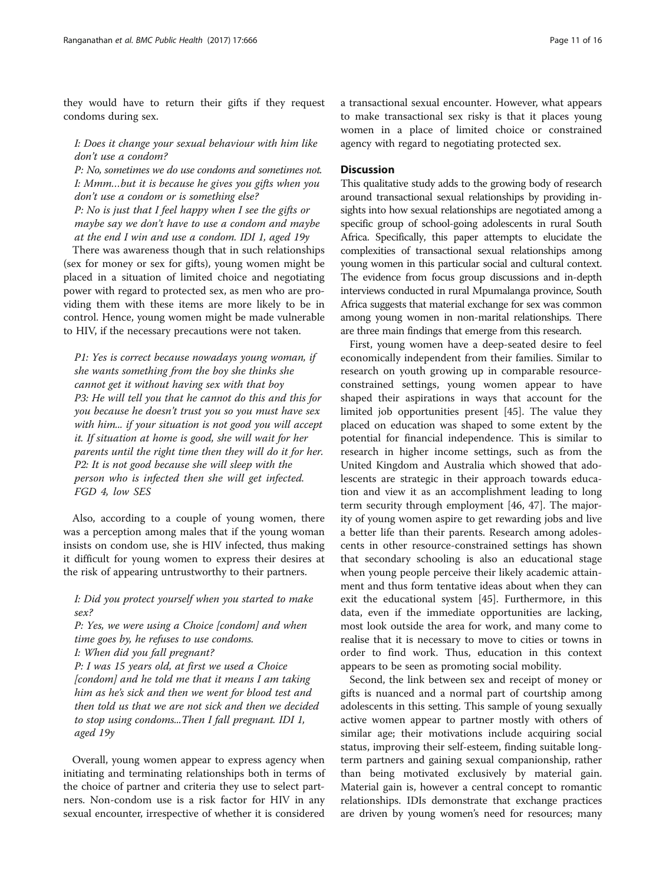they would have to return their gifts if they request condoms during sex.

I: Does it change your sexual behaviour with him like don't use a condom?

P: No, sometimes we do use condoms and sometimes not. I: Mmm…but it is because he gives you gifts when you don't use a condom or is something else? P: No is just that I feel happy when I see the gifts or

maybe say we don't have to use a condom and maybe at the end I win and use a condom. IDI 1, aged 19y

There was awareness though that in such relationships (sex for money or sex for gifts), young women might be placed in a situation of limited choice and negotiating power with regard to protected sex, as men who are providing them with these items are more likely to be in control. Hence, young women might be made vulnerable to HIV, if the necessary precautions were not taken.

P1: Yes is correct because nowadays young woman, if she wants something from the boy she thinks she cannot get it without having sex with that boy P3: He will tell you that he cannot do this and this for you because he doesn't trust you so you must have sex with him... if your situation is not good you will accept it. If situation at home is good, she will wait for her parents until the right time then they will do it for her. P2: It is not good because she will sleep with the person who is infected then she will get infected. FGD 4, low SES

Also, according to a couple of young women, there was a perception among males that if the young woman insists on condom use, she is HIV infected, thus making it difficult for young women to express their desires at the risk of appearing untrustworthy to their partners.

I: Did you protect yourself when you started to make sex?

P: Yes, we were using a Choice [condom] and when time goes by, he refuses to use condoms. I: When did you fall pregnant? P: I was 15 years old, at first we used a Choice [condom] and he told me that it means I am taking him as he's sick and then we went for blood test and then told us that we are not sick and then we decided

to stop using condoms...Then I fall pregnant. IDI 1, aged 19y

Overall, young women appear to express agency when initiating and terminating relationships both in terms of the choice of partner and criteria they use to select partners. Non-condom use is a risk factor for HIV in any sexual encounter, irrespective of whether it is considered a transactional sexual encounter. However, what appears to make transactional sex risky is that it places young women in a place of limited choice or constrained agency with regard to negotiating protected sex.

#### **Discussion**

This qualitative study adds to the growing body of research around transactional sexual relationships by providing insights into how sexual relationships are negotiated among a specific group of school-going adolescents in rural South Africa. Specifically, this paper attempts to elucidate the complexities of transactional sexual relationships among young women in this particular social and cultural context. The evidence from focus group discussions and in-depth interviews conducted in rural Mpumalanga province, South Africa suggests that material exchange for sex was common among young women in non-marital relationships. There are three main findings that emerge from this research.

First, young women have a deep-seated desire to feel economically independent from their families. Similar to research on youth growing up in comparable resourceconstrained settings, young women appear to have shaped their aspirations in ways that account for the limited job opportunities present [[45\]](#page-16-0). The value they placed on education was shaped to some extent by the potential for financial independence. This is similar to research in higher income settings, such as from the United Kingdom and Australia which showed that adolescents are strategic in their approach towards education and view it as an accomplishment leading to long term security through employment [\[46](#page-16-0), [47\]](#page-16-0). The majority of young women aspire to get rewarding jobs and live a better life than their parents. Research among adolescents in other resource-constrained settings has shown that secondary schooling is also an educational stage when young people perceive their likely academic attainment and thus form tentative ideas about when they can exit the educational system [[45\]](#page-16-0). Furthermore, in this data, even if the immediate opportunities are lacking, most look outside the area for work, and many come to realise that it is necessary to move to cities or towns in order to find work. Thus, education in this context appears to be seen as promoting social mobility.

Second, the link between sex and receipt of money or gifts is nuanced and a normal part of courtship among adolescents in this setting. This sample of young sexually active women appear to partner mostly with others of similar age; their motivations include acquiring social status, improving their self-esteem, finding suitable longterm partners and gaining sexual companionship, rather than being motivated exclusively by material gain. Material gain is, however a central concept to romantic relationships. IDIs demonstrate that exchange practices are driven by young women's need for resources; many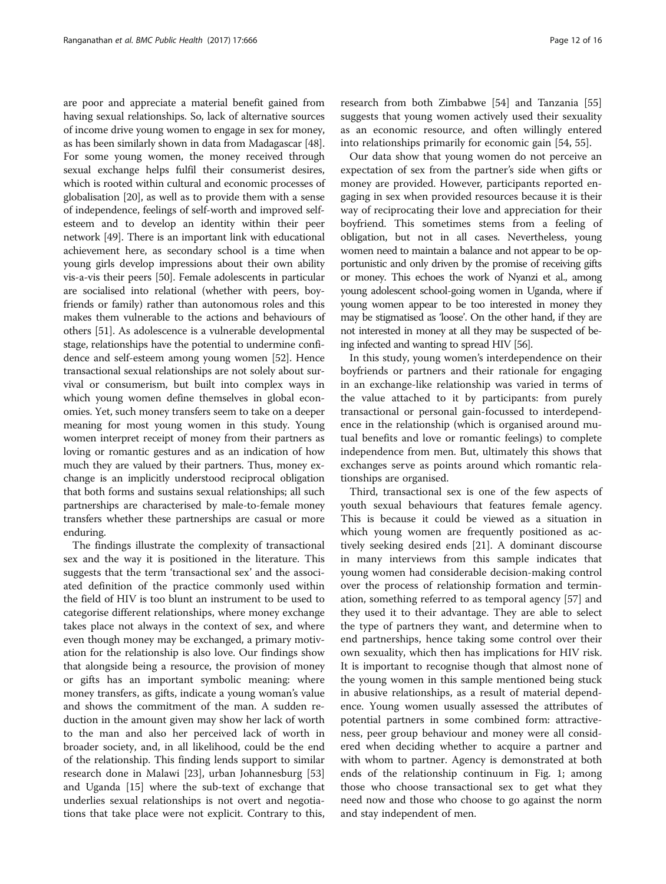are poor and appreciate a material benefit gained from having sexual relationships. So, lack of alternative sources of income drive young women to engage in sex for money, as has been similarly shown in data from Madagascar [[48](#page-16-0)]. For some young women, the money received through sexual exchange helps fulfil their consumerist desires, which is rooted within cultural and economic processes of globalisation [\[20\]](#page-16-0), as well as to provide them with a sense of independence, feelings of self-worth and improved selfesteem and to develop an identity within their peer network [[49](#page-16-0)]. There is an important link with educational achievement here, as secondary school is a time when young girls develop impressions about their own ability vis-a-vis their peers [\[50\]](#page-16-0). Female adolescents in particular are socialised into relational (whether with peers, boyfriends or family) rather than autonomous roles and this makes them vulnerable to the actions and behaviours of others [\[51\]](#page-16-0). As adolescence is a vulnerable developmental stage, relationships have the potential to undermine confidence and self-esteem among young women [\[52\]](#page-16-0). Hence transactional sexual relationships are not solely about survival or consumerism, but built into complex ways in which young women define themselves in global economies. Yet, such money transfers seem to take on a deeper meaning for most young women in this study. Young women interpret receipt of money from their partners as loving or romantic gestures and as an indication of how much they are valued by their partners. Thus, money exchange is an implicitly understood reciprocal obligation that both forms and sustains sexual relationships; all such partnerships are characterised by male-to-female money transfers whether these partnerships are casual or more enduring.

The findings illustrate the complexity of transactional sex and the way it is positioned in the literature. This suggests that the term 'transactional sex' and the associated definition of the practice commonly used within the field of HIV is too blunt an instrument to be used to categorise different relationships, where money exchange takes place not always in the context of sex, and where even though money may be exchanged, a primary motivation for the relationship is also love. Our findings show that alongside being a resource, the provision of money or gifts has an important symbolic meaning: where money transfers, as gifts, indicate a young woman's value and shows the commitment of the man. A sudden reduction in the amount given may show her lack of worth to the man and also her perceived lack of worth in broader society, and, in all likelihood, could be the end of the relationship. This finding lends support to similar research done in Malawi [[23\]](#page-16-0), urban Johannesburg [[53](#page-16-0)] and Uganda [[15\]](#page-16-0) where the sub-text of exchange that underlies sexual relationships is not overt and negotiations that take place were not explicit. Contrary to this, research from both Zimbabwe [[54\]](#page-16-0) and Tanzania [[55](#page-16-0)] suggests that young women actively used their sexuality as an economic resource, and often willingly entered into relationships primarily for economic gain [\[54](#page-16-0), [55](#page-16-0)].

Our data show that young women do not perceive an expectation of sex from the partner's side when gifts or money are provided. However, participants reported engaging in sex when provided resources because it is their way of reciprocating their love and appreciation for their boyfriend. This sometimes stems from a feeling of obligation, but not in all cases. Nevertheless, young women need to maintain a balance and not appear to be opportunistic and only driven by the promise of receiving gifts or money. This echoes the work of Nyanzi et al., among young adolescent school-going women in Uganda, where if young women appear to be too interested in money they may be stigmatised as 'loose'. On the other hand, if they are not interested in money at all they may be suspected of being infected and wanting to spread HIV [[56\]](#page-16-0).

In this study, young women's interdependence on their boyfriends or partners and their rationale for engaging in an exchange-like relationship was varied in terms of the value attached to it by participants: from purely transactional or personal gain-focussed to interdependence in the relationship (which is organised around mutual benefits and love or romantic feelings) to complete independence from men. But, ultimately this shows that exchanges serve as points around which romantic relationships are organised.

Third, transactional sex is one of the few aspects of youth sexual behaviours that features female agency. This is because it could be viewed as a situation in which young women are frequently positioned as actively seeking desired ends [\[21](#page-16-0)]. A dominant discourse in many interviews from this sample indicates that young women had considerable decision-making control over the process of relationship formation and termination, something referred to as temporal agency [[57](#page-17-0)] and they used it to their advantage. They are able to select the type of partners they want, and determine when to end partnerships, hence taking some control over their own sexuality, which then has implications for HIV risk. It is important to recognise though that almost none of the young women in this sample mentioned being stuck in abusive relationships, as a result of material dependence. Young women usually assessed the attributes of potential partners in some combined form: attractiveness, peer group behaviour and money were all considered when deciding whether to acquire a partner and with whom to partner. Agency is demonstrated at both ends of the relationship continuum in Fig. [1](#page-9-0); among those who choose transactional sex to get what they need now and those who choose to go against the norm and stay independent of men.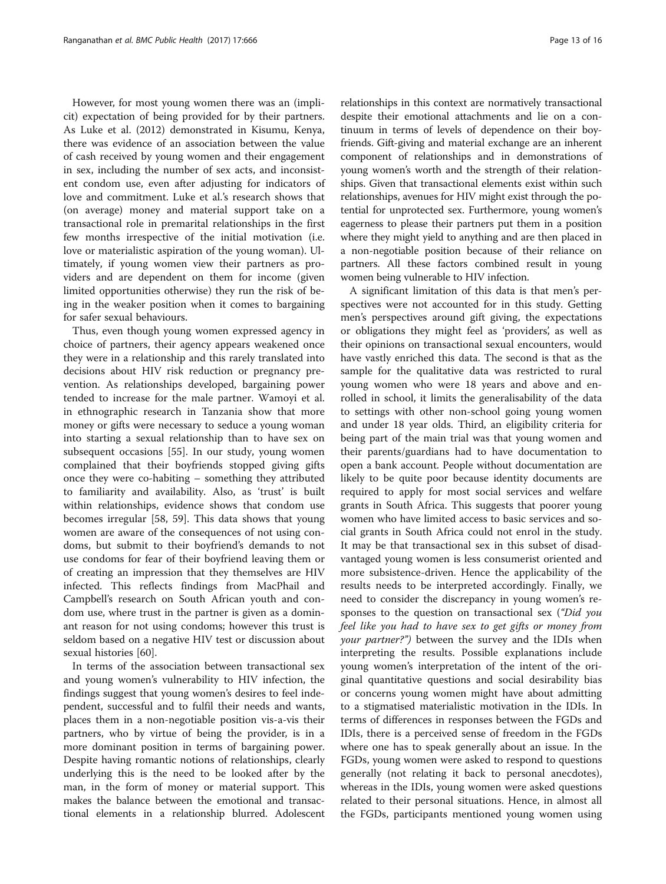However, for most young women there was an (implicit) expectation of being provided for by their partners. As Luke et al. (2012) demonstrated in Kisumu, Kenya, there was evidence of an association between the value of cash received by young women and their engagement in sex, including the number of sex acts, and inconsistent condom use, even after adjusting for indicators of love and commitment. Luke et al.'s research shows that (on average) money and material support take on a transactional role in premarital relationships in the first few months irrespective of the initial motivation (i.e. love or materialistic aspiration of the young woman). Ultimately, if young women view their partners as providers and are dependent on them for income (given limited opportunities otherwise) they run the risk of being in the weaker position when it comes to bargaining for safer sexual behaviours.

Thus, even though young women expressed agency in choice of partners, their agency appears weakened once they were in a relationship and this rarely translated into decisions about HIV risk reduction or pregnancy prevention. As relationships developed, bargaining power tended to increase for the male partner. Wamoyi et al. in ethnographic research in Tanzania show that more money or gifts were necessary to seduce a young woman into starting a sexual relationship than to have sex on subsequent occasions [\[55\]](#page-16-0). In our study, young women complained that their boyfriends stopped giving gifts once they were co-habiting – something they attributed to familiarity and availability. Also, as 'trust' is built within relationships, evidence shows that condom use becomes irregular [\[58](#page-17-0), [59](#page-17-0)]. This data shows that young women are aware of the consequences of not using condoms, but submit to their boyfriend's demands to not use condoms for fear of their boyfriend leaving them or of creating an impression that they themselves are HIV infected. This reflects findings from MacPhail and Campbell's research on South African youth and condom use, where trust in the partner is given as a dominant reason for not using condoms; however this trust is seldom based on a negative HIV test or discussion about sexual histories [\[60](#page-17-0)].

In terms of the association between transactional sex and young women's vulnerability to HIV infection, the findings suggest that young women's desires to feel independent, successful and to fulfil their needs and wants, places them in a non-negotiable position vis-a-vis their partners, who by virtue of being the provider, is in a more dominant position in terms of bargaining power. Despite having romantic notions of relationships, clearly underlying this is the need to be looked after by the man, in the form of money or material support. This makes the balance between the emotional and transactional elements in a relationship blurred. Adolescent

relationships in this context are normatively transactional despite their emotional attachments and lie on a continuum in terms of levels of dependence on their boyfriends. Gift-giving and material exchange are an inherent component of relationships and in demonstrations of young women's worth and the strength of their relationships. Given that transactional elements exist within such relationships, avenues for HIV might exist through the potential for unprotected sex. Furthermore, young women's eagerness to please their partners put them in a position where they might yield to anything and are then placed in a non-negotiable position because of their reliance on partners. All these factors combined result in young women being vulnerable to HIV infection.

A significant limitation of this data is that men's perspectives were not accounted for in this study. Getting men's perspectives around gift giving, the expectations or obligations they might feel as 'providers', as well as their opinions on transactional sexual encounters, would have vastly enriched this data. The second is that as the sample for the qualitative data was restricted to rural young women who were 18 years and above and enrolled in school, it limits the generalisability of the data to settings with other non-school going young women and under 18 year olds. Third, an eligibility criteria for being part of the main trial was that young women and their parents/guardians had to have documentation to open a bank account. People without documentation are likely to be quite poor because identity documents are required to apply for most social services and welfare grants in South Africa. This suggests that poorer young women who have limited access to basic services and social grants in South Africa could not enrol in the study. It may be that transactional sex in this subset of disadvantaged young women is less consumerist oriented and more subsistence-driven. Hence the applicability of the results needs to be interpreted accordingly. Finally, we need to consider the discrepancy in young women's responses to the question on transactional sex ("Did you feel like you had to have sex to get gifts or money from your partner?") between the survey and the IDIs when interpreting the results. Possible explanations include young women's interpretation of the intent of the original quantitative questions and social desirability bias or concerns young women might have about admitting to a stigmatised materialistic motivation in the IDIs. In terms of differences in responses between the FGDs and IDIs, there is a perceived sense of freedom in the FGDs where one has to speak generally about an issue. In the FGDs, young women were asked to respond to questions generally (not relating it back to personal anecdotes), whereas in the IDIs, young women were asked questions related to their personal situations. Hence, in almost all the FGDs, participants mentioned young women using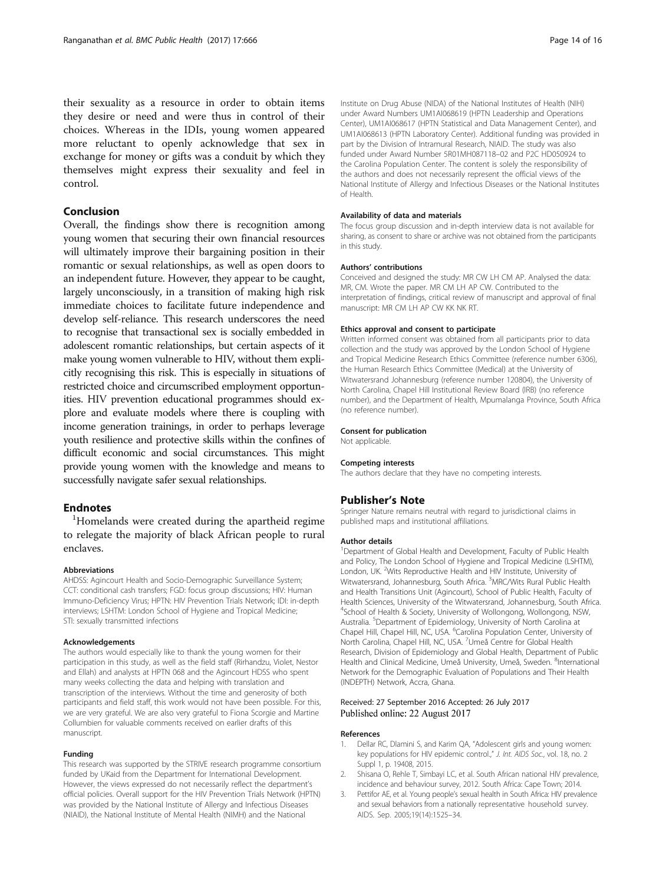<span id="page-15-0"></span>their sexuality as a resource in order to obtain items they desire or need and were thus in control of their choices. Whereas in the IDIs, young women appeared more reluctant to openly acknowledge that sex in exchange for money or gifts was a conduit by which they themselves might express their sexuality and feel in control.

#### Conclusion

Overall, the findings show there is recognition among young women that securing their own financial resources will ultimately improve their bargaining position in their romantic or sexual relationships, as well as open doors to an independent future. However, they appear to be caught, largely unconsciously, in a transition of making high risk immediate choices to facilitate future independence and develop self-reliance. This research underscores the need to recognise that transactional sex is socially embedded in adolescent romantic relationships, but certain aspects of it make young women vulnerable to HIV, without them explicitly recognising this risk. This is especially in situations of restricted choice and circumscribed employment opportunities. HIV prevention educational programmes should explore and evaluate models where there is coupling with income generation trainings, in order to perhaps leverage youth resilience and protective skills within the confines of difficult economic and social circumstances. This might provide young women with the knowledge and means to successfully navigate safer sexual relationships.

#### **Endnotes**

<sup>1</sup>Homelands were created during the apartheid regime to relegate the majority of black African people to rural enclaves.

#### **Abbreviations**

AHDSS: Agincourt Health and Socio-Demographic Surveillance System; CCT: conditional cash transfers; FGD: focus group discussions; HIV: Human Immuno-Deficiency Virus; HPTN: HIV Prevention Trials Network; IDI: in-depth interviews; LSHTM: London School of Hygiene and Tropical Medicine; STI: sexually transmitted infections

#### Acknowledgements

The authors would especially like to thank the young women for their participation in this study, as well as the field staff (Rirhandzu, Violet, Nestor and Ellah) and analysts at HPTN 068 and the Agincourt HDSS who spent many weeks collecting the data and helping with translation and transcription of the interviews. Without the time and generosity of both participants and field staff, this work would not have been possible. For this, we are very grateful. We are also very grateful to Fiona Scorgie and Martine Collumbien for valuable comments received on earlier drafts of this manuscript.

#### Funding

This research was supported by the STRIVE research programme consortium funded by UKaid from the Department for International Development. However, the views expressed do not necessarily reflect the department's official policies. Overall support for the HIV Prevention Trials Network (HPTN) was provided by the National Institute of Allergy and Infectious Diseases (NIAID), the National Institute of Mental Health (NIMH) and the National

Institute on Drug Abuse (NIDA) of the National Institutes of Health (NIH) under Award Numbers UM1AI068619 (HPTN Leadership and Operations Center), UM1AI068617 (HPTN Statistical and Data Management Center), and UM1AI068613 (HPTN Laboratory Center). Additional funding was provided in part by the Division of Intramural Research, NIAID. The study was also funded under Award Number 5R01MH087118–02 and P2C HD050924 to the Carolina Population Center. The content is solely the responsibility of the authors and does not necessarily represent the official views of the National Institute of Allergy and Infectious Diseases or the National Institutes of Health.

#### Availability of data and materials

The focus group discussion and in-depth interview data is not available for sharing, as consent to share or archive was not obtained from the participants in this study.

#### Authors' contributions

Conceived and designed the study: MR CW LH CM AP. Analysed the data: MR, CM. Wrote the paper. MR CM LH AP CW. Contributed to the interpretation of findings, critical review of manuscript and approval of final manuscript: MR CM LH AP CW KK NK RT.

#### Ethics approval and consent to participate

Written informed consent was obtained from all participants prior to data collection and the study was approved by the London School of Hygiene and Tropical Medicine Research Ethics Committee (reference number 6306), the Human Research Ethics Committee (Medical) at the University of Witwatersrand Johannesburg (reference number 120804), the University of North Carolina, Chapel Hill Institutional Review Board (IRB) (no reference number), and the Department of Health, Mpumalanga Province, South Africa (no reference number).

#### Consent for publication

Not applicable.

#### Competing interests

The authors declare that they have no competing interests.

#### Publisher's Note

Springer Nature remains neutral with regard to jurisdictional claims in published maps and institutional affiliations.

#### Author details

<sup>1</sup>Department of Global Health and Development, Faculty of Public Health and Policy, The London School of Hygiene and Tropical Medicine (LSHTM), London, UK. <sup>2</sup>Wits Reproductive Health and HIV Institute, University of Witwatersrand, Johannesburg, South Africa. <sup>3</sup>MRC/Wits Rural Public Health and Health Transitions Unit (Agincourt), School of Public Health, Faculty of Health Sciences, University of the Witwatersrand, Johannesburg, South Africa. 4 School of Health & Society, University of Wollongong, Wollongong, NSW, Australia. <sup>5</sup>Department of Epidemiology, University of North Carolina at Chapel Hill, Chapel Hill, NC, USA. <sup>6</sup>Carolina Population Center, University of North Carolina, Chapel Hill, NC, USA. <sup>7</sup>Umeå Centre for Global Health Research, Division of Epidemiology and Global Health, Department of Public Health and Clinical Medicine, Umeå University, Umeå, Sweden. <sup>8</sup>International Network for the Demographic Evaluation of Populations and Their Health (INDEPTH) Network, Accra, Ghana.

#### Received: 27 September 2016 Accepted: 26 July 2017 Published online: 22 August 2017

#### References

- 1. Dellar RC, Dlamini S, and Karim QA, "Adolescent girls and young women: key populations for HIV epidemic control.," J. Int. AIDS Soc., vol. 18, no. 2 Suppl 1, p. 19408, 2015.
- 2. Shisana O, Rehle T, Simbayi LC, et al. South African national HIV prevalence, incidence and behaviour survey, 2012. South Africa: Cape Town; 2014.
- 3. Pettifor AE, et al. Young people's sexual health in South Africa: HIV prevalence and sexual behaviors from a nationally representative household survey. AIDS. Sep. 2005;19(14):1525–34.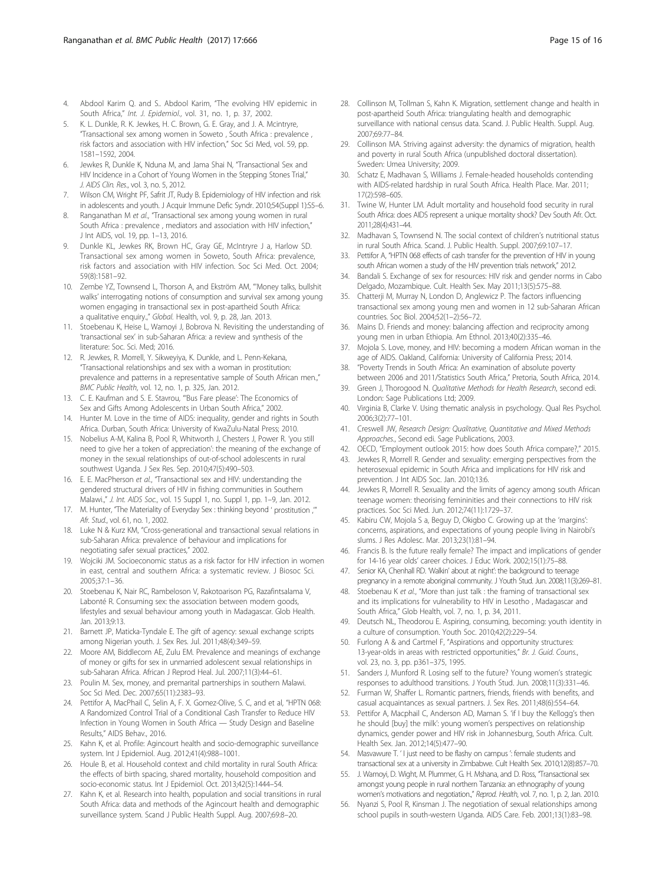- <span id="page-16-0"></span>4. Abdool Karim Q. and S.. Abdool Karim, "The evolving HIV epidemic in South Africa," Int. J. Epidemiol., vol. 31, no. 1, p. 37, 2002.
- 5. K. L. Dunkle, R. K. Jewkes, H. C. Brown, G. E. Gray, and J. A. Mcintryre, "Transactional sex among women in Soweto , South Africa : prevalence , risk factors and association with HIV infection," Soc Sci Med, vol. 59, pp. 1581–1592, 2004.
- Jewkes R, Dunkle K, Nduna M, and Jama Shai N, "Transactional Sex and HIV Incidence in a Cohort of Young Women in the Stepping Stones Trial," J. AIDS Clin. Res., vol. 3, no. 5, 2012.
- 7. Wilson CM, Wright PF, Safrit JT, Rudy B. Epidemiology of HIV infection and risk in adolescents and youth. J Acquir Immune Defic Syndr. 2010;54(Suppl 1):S5–6.
- 8. Ranganathan M et al., "Transactional sex among young women in rural South Africa : prevalence , mediators and association with HIV infection," J Int AIDS, vol. 19, pp. 1–13, 2016.
- 9. Dunkle KL, Jewkes RK, Brown HC, Gray GE, McIntryre J a, Harlow SD. Transactional sex among women in Soweto, South Africa: prevalence, risk factors and association with HIV infection. Soc Sci Med. Oct. 2004; 59(8):1581–92.
- 10. Zembe YZ, Townsend L, Thorson A, and Ekström AM, "'Money talks, bullshit walks' interrogating notions of consumption and survival sex among young women engaging in transactional sex in post-apartheid South Africa: a qualitative enquiry.," Global. Health, vol. 9, p. 28, Jan. 2013.
- 11. Stoebenau K, Heise L, Wamoyi J, Bobrova N. Revisiting the understanding of 'transactional sex' in sub-Saharan Africa: a review and synthesis of the literature: Soc. Sci. Med; 2016.
- 12. R. Jewkes, R. Morrell, Y. Sikweyiya, K. Dunkle, and L. Penn-Kekana, "Transactional relationships and sex with a woman in prostitution: prevalence and patterns in a representative sample of South African men." BMC Public Health, vol. 12, no. 1, p. 325, Jan. 2012.
- 13. C. E. Kaufman and S. E. Stavrou, "'Bus Fare please': The Economics of Sex and Gifts Among Adolescents in Urban South Africa," 2002.
- 14. Hunter M. Love in the time of AIDS: inequality, gender and rights in South Africa. Durban, South Africa: University of KwaZulu-Natal Press; 2010.
- 15. Nobelius A-M, Kalina B, Pool R, Whitworth J, Chesters J, Power R. 'you still need to give her a token of appreciation': the meaning of the exchange of money in the sexual relationships of out-of-school adolescents in rural southwest Uganda. J Sex Res. Sep. 2010;47(5):490–503.
- 16. E. E. MacPherson et al., "Transactional sex and HIV: understanding the gendered structural drivers of HIV in fishing communities in Southern Malawi.," J. Int. AIDS Soc., vol. 15 Suppl 1, no. Suppl 1, pp. 1–9, Jan. 2012.
- 17. M. Hunter, "The Materiality of Everyday Sex : thinking beyond ' prostitution ,'" Afr. Stud., vol. 61, no. 1, 2002.
- 18. Luke N & Kurz KM, "Cross-generational and transactional sexual relations in sub-Saharan Africa: prevalence of behaviour and implications for negotiating safer sexual practices," 2002.
- 19. Wojciki JM. Socioeconomic status as a risk factor for HIV infection in women in east, central and southern Africa: a systematic review. J Biosoc Sci. 2005;37:1–36.
- 20. Stoebenau K, Nair RC, Rambeloson V, Rakotoarison PG, Razafintsalama V, Labonté R. Consuming sex: the association between modern goods, lifestyles and sexual behaviour among youth in Madagascar. Glob Health. Jan. 2013;9:13.
- 21. Barnett JP, Maticka-Tyndale E. The gift of agency: sexual exchange scripts among Nigerian youth. J. Sex Res. Jul. 2011;48(4):349–59.
- 22. Moore AM, Biddlecom AE, Zulu EM. Prevalence and meanings of exchange of money or gifts for sex in unmarried adolescent sexual relationships in sub-Saharan Africa. African J Reprod Heal. Jul. 2007;11(3):44–61.
- 23. Poulin M. Sex, money, and premarital partnerships in southern Malawi. Soc Sci Med. Dec. 2007;65(11):2383–93.
- 24. Pettifor A, MacPhail C, Selin A, F. X. Gomez-Olive, S. C, and et al, "HPTN 068: A Randomized Control Trial of a Conditional Cash Transfer to Reduce HIV Infection in Young Women in South Africa — Study Design and Baseline Results," AIDS Behav., 2016.
- 25. Kahn K, et al. Profile: Agincourt health and socio-demographic surveillance system. Int J Epidemiol. Aug. 2012;41(4):988–1001.
- 26. Houle B, et al. Household context and child mortality in rural South Africa: the effects of birth spacing, shared mortality, household composition and socio-economic status. Int J Epidemiol. Oct. 2013;42(5):1444–54.
- 27. Kahn K, et al. Research into health, population and social transitions in rural South Africa: data and methods of the Agincourt health and demographic surveillance system. Scand J Public Health Suppl. Aug. 2007;69:8–20.
- 28. Collinson M, Tollman S, Kahn K. Migration, settlement change and health in post-apartheid South Africa: triangulating health and demographic surveillance with national census data. Scand. J. Public Health. Suppl. Aug. 2007;69:77–84.
- 29. Collinson MA. Striving against adversity: the dynamics of migration, health and poverty in rural South Africa (unpublished doctoral dissertation). Sweden: Umea University; 2009.
- 30. Schatz E, Madhavan S, Williams J. Female-headed households contending with AIDS-related hardship in rural South Africa. Health Place. Mar. 2011; 17(2):598–605.
- 31. Twine W, Hunter LM. Adult mortality and household food security in rural South Africa: does AIDS represent a unique mortality shock? Dev South Afr. Oct. 2011;28(4):431–44.
- 32. Madhavan S, Townsend N. The social context of children's nutritional status in rural South Africa. Scand. J. Public Health. Suppl. 2007;69:107–17.
- 33. Pettifor A, "HPTN 068 effects of cash transfer for the prevention of HIV in young south African women a study of the HIV prevention trials network," 2012.
- 34. Bandali S. Exchange of sex for resources: HIV risk and gender norms in Cabo Delgado, Mozambique. Cult. Health Sex. May 2011;13(5):575–88.
- 35. Chatterji M, Murray N, London D, Anglewicz P. The factors influencing transactional sex among young men and women in 12 sub-Saharan African countries. Soc Biol. 2004;52(1–2):56–72.
- 36. Mains D. Friends and money: balancing affection and reciprocity among young men in urban Ethiopia. Am Ethnol. 2013;40(2):335–46.
- 37. Mojola S. Love, money, and HIV: becoming a modern African woman in the age of AIDS. Oakland, California: University of California Press; 2014.
- 38. "Poverty Trends in South Africa: An examination of absolute poverty between 2006 and 2011/Statistics South Africa," Pretoria, South Africa, 2014.
- 39. Green J, Thorogood N. Qualitative Methods for Health Research, second edi. London: Sage Publications Ltd; 2009.
- 40. Virginia B, Clarke V. Using thematic analysis in psychology. Qual Res Psychol. 2006;3(2):77–101.
- 41. Creswell JW, Research Design: Qualitative, Quantitative and Mixed Methods Approaches., Second edi. Sage Publications, 2003.
- 42. OECD, "Employment outlook 2015: how does South Africa compare?," 2015.
- 43. Jewkes R, Morrell R. Gender and sexuality: emerging perspectives from the heterosexual epidemic in South Africa and implications for HIV risk and prevention. J Int AIDS Soc. Jan. 2010;13:6.
- 44. Jewkes R, Morrell R. Sexuality and the limits of agency among south African teenage women: theorising femininities and their connections to HIV risk practices. Soc Sci Med. Jun. 2012;74(11):1729–37.
- 45. Kabiru CW, Mojola S a, Beguy D, Okigbo C. Growing up at the 'margins': concerns, aspirations, and expectations of young people living in Nairobi's slums. J Res Adolesc. Mar. 2013;23(1):81–94.
- 46. Francis B. Is the future really female? The impact and implications of gender for 14-16 year olds' career choices. J Educ Work. 2002;15(1):75–88.
- 47. Senior KA, Chenhall RD. 'Walkin' about at night': the background to teenage pregnancy in a remote aboriginal community. J Youth Stud. Jun. 2008;11(3):269–81.
- 48. Stoebenau K et al., "More than just talk : the framing of transactional sex and its implications for vulnerability to HIV in Lesotho , Madagascar and South Africa," Glob Health, vol. 7, no. 1, p. 34, 2011.
- 49. Deutsch NL, Theodorou E. Aspiring, consuming, becoming: youth identity in a culture of consumption. Youth Soc. 2010;42(2):229–54.
- 50. Furlong A & and Cartmel F, "Aspirations and opportunity structures: 13-year-olds in areas with restricted opportunities," Br. J. Guid. Couns., vol. 23, no. 3, pp. p361–375, 1995.
- 51. Sanders J, Munford R. Losing self to the future? Young women's strategic responses to adulthood transitions. J Youth Stud. Jun. 2008;11(3):331–46.
- 52. Furman W, Shaffer L. Romantic partners, friends, friends with benefits, and casual acquaintances as sexual partners. J. Sex Res. 2011;48(6):554–64.
- 53. Pettifor A, Macphail C, Anderson AD, Maman S. 'if I buy the Kellogg's then he should [buy] the milk': young women's perspectives on relationship dynamics, gender power and HIV risk in Johannesburg, South Africa. Cult. Health Sex. Jan. 2012;14(5):477–90.
- 54. Masvawure T. ' I just need to be flashy on campus ': female students and transactional sex at a university in Zimbabwe. Cult Health Sex. 2010;12(8):857–70.
- 55. J. Wamoyi, D. Wight, M. Plummer, G. H. Mshana, and D. Ross, "Transactional sex amongst young people in rural northern Tanzania: an ethnography of young women's motivations and negotiation.," Reprod. Health, vol. 7, no. 1, p. 2, Jan. 2010.
- 56. Nyanzi S, Pool R, Kinsman J. The negotiation of sexual relationships among school pupils in south-western Uganda. AIDS Care. Feb. 2001;13(1):83–98.